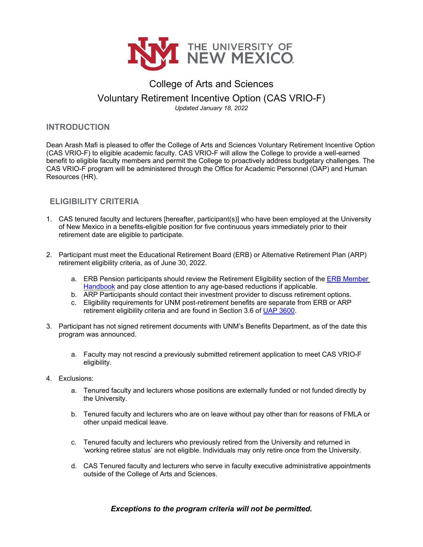

# College of Arts and Sciences Voluntary Retirement Incentive Option (CAS VRIO-F)

*Updated January 18, 2022*

#### **INTRODUCTION**

Dean Arash Mafi is pleased to offer the College of Arts and Sciences Voluntary Retirement Incentive Option (CAS VRIO-F) to eligible academic faculty. CAS VRIO-F will allow the College to provide a well-earned benefit to eligible faculty members and permit the College to proactively address budgetary challenges. The CAS VRIO-F program will be administered through the Office for Academic Personnel (OAP) and Human Resources (HR).

## **ELIGIBILITY CRITERIA**

- 1. CAS tenured faculty and lecturers [hereafter, participant(s)] who have been employed at the University of New Mexico in a benefits-eligible position for five continuous years immediately prior to their retirement date are eligible to participate.
- 2. Participant must meet the Educational Retirement Board (ERB) or Alternative Retirement Plan (ARP) retirement eligibility criteria, as of June 30, 2022.
	- a. ERB Pension participants should review the Retirement Eligibility section of the [ERB Member](https://www.nmerb.org/wp-content/uploads/2020/08/NMERB-Member-Handbook-final-7-25-2020.final_-2.pdf)  [Handbook](https://www.nmerb.org/wp-content/uploads/2020/08/NMERB-Member-Handbook-final-7-25-2020.final_-2.pdf) and pay close attention to any age-based reductions if applicable.
	- b. ARP Participants should contact their investment provider to discuss retirement options.
	- c. Eligibility requirements for UNM post-retirement benefits are separate from ERB or ARP retirement eligibility criteria and are found in Section 3.6 of [UAP 3600.](http://policy.unm.edu/university-policies/3000/3600.html)
- 3. Participant has not signed retirement documents with UNM's Benefits Department, as of the date this program was announced.
	- a. Faculty may not rescind a previously submitted retirement application to meet CAS VRIO-F eligibility.
- 4. Exclusions:
	- a. Tenured faculty and lecturers whose positions are externally funded or not funded directly by the University.
	- b. Tenured faculty and lecturers who are on leave without pay other than for reasons of FMLA or other unpaid medical leave.
	- c. Tenured faculty and lecturers who previously retired from the University and returned in 'working retiree status' are not eligible. Individuals may only retire once from the University.
	- d. CAS Tenured faculty and lecturers who serve in faculty executive administrative appointments outside of the College of Arts and Sciences.

### *Exceptions to the program criteria will not be permitted.*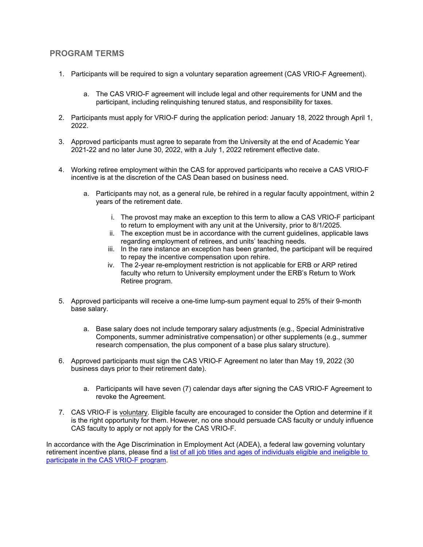#### **PROGRAM TERMS**

- 1. Participants will be required to sign a voluntary separation agreement (CAS VRIO-F Agreement).
	- a. The CAS VRIO-F agreement will include legal and other requirements for UNM and the participant, including relinquishing tenured status, and responsibility for taxes.
- 2. Participants must apply for VRIO-F during the application period: January 18, 2022 through April 1, 2022.
- 3. Approved participants must agree to separate from the University at the end of Academic Year 2021-22 and no later June 30, 2022, with a July 1, 2022 retirement effective date.
- 4. Working retiree employment within the CAS for approved participants who receive a CAS VRIO-F incentive is at the discretion of the CAS Dean based on business need.
	- a. Participants may not, as a general rule, be rehired in a regular faculty appointment, within 2 years of the retirement date.
		- i. The provost may make an exception to this term to allow a CAS VRIO-F participant to return to employment with any unit at the University, prior to 8/1/2025.
		- ii. The exception must be in accordance with the current guidelines, applicable laws regarding employment of retirees, and units' teaching needs.
		- iii. In the rare instance an exception has been granted, the participant will be required to repay the incentive compensation upon rehire.
		- iv. The 2-year re-employment restriction is not applicable for ERB or ARP retired faculty who return to University employment under the ERB's Return to Work Retiree program.
- 5. Approved participants will receive a one-time lump-sum payment equal to 25% of their 9-month base salary.
	- a. Base salary does not include temporary salary adjustments (e.g., Special Administrative Components, summer administrative compensation) or other supplements (e.g., summer research compensation, the plus component of a base plus salary structure).
- 6. Approved participants must sign the CAS VRIO-F Agreement no later than May 19, 2022 (30 business days prior to their retirement date).
	- a. Participants will have seven (7) calendar days after signing the CAS VRIO-F Agreement to revoke the Agreement.
- 7. CAS VRIO-F is voluntary. Eligible faculty are encouraged to consider the Option and determine if it is the right opportunity for them. However, no one should persuade CAS faculty or unduly influence CAS faculty to apply or not apply for the CAS VRIO-F.

In accordance with the Age Discrimination in Employment Act (ADEA), a federal law governing voluntary retirement incentive plans, please find a [list of all job titles and ages of individuals eligible and ineligible to](https://oap.unm.edu/faculty/compensation/documents/cas_vrio_adea.pdf)  [participate in the CAS VRIO-F program.](https://oap.unm.edu/faculty/compensation/documents/cas_vrio_adea.pdf)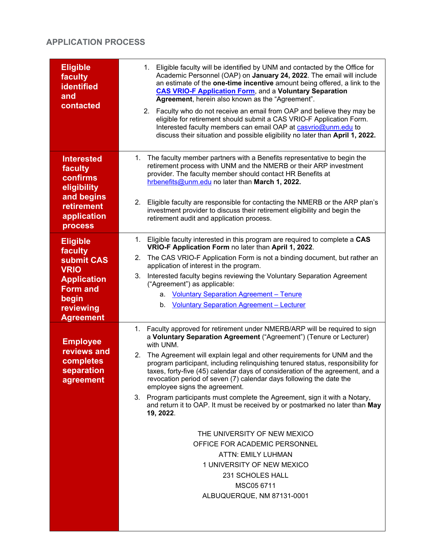# **APPLICATION PROCESS**

| <b>Eligible</b><br>faculty<br><b>identified</b><br>and<br>contacted                                                                        | 1. Eligible faculty will be identified by UNM and contacted by the Office for<br>Academic Personnel (OAP) on January 24, 2022. The email will include<br>an estimate of the one-time incentive amount being offered, a link to the<br><b>CAS VRIO-F Application Form, and a Voluntary Separation</b><br>Agreement, herein also known as the "Agreement".<br>2. Faculty who do not receive an email from OAP and believe they may be<br>eligible for retirement should submit a CAS VRIO-F Application Form.<br>Interested faculty members can email OAP at casvrio@unm.edu to<br>discuss their situation and possible eligibility no later than April 1, 2022.                                                                                                                                                                                                                                       |
|--------------------------------------------------------------------------------------------------------------------------------------------|------------------------------------------------------------------------------------------------------------------------------------------------------------------------------------------------------------------------------------------------------------------------------------------------------------------------------------------------------------------------------------------------------------------------------------------------------------------------------------------------------------------------------------------------------------------------------------------------------------------------------------------------------------------------------------------------------------------------------------------------------------------------------------------------------------------------------------------------------------------------------------------------------|
| <b>Interested</b><br>faculty<br>confirms<br>eligibility<br>and begins<br><b>retirement</b>                                                 | 1. The faculty member partners with a Benefits representative to begin the<br>retirement process with UNM and the NMERB or their ARP investment<br>provider. The faculty member should contact HR Benefits at<br>hrbenefits@unm.edu no later than March 1, 2022.<br>Eligible faculty are responsible for contacting the NMERB or the ARP plan's<br>2.<br>investment provider to discuss their retirement eligibility and begin the                                                                                                                                                                                                                                                                                                                                                                                                                                                                   |
| application<br><b>process</b>                                                                                                              | retirement audit and application process.                                                                                                                                                                                                                                                                                                                                                                                                                                                                                                                                                                                                                                                                                                                                                                                                                                                            |
| <b>Eligible</b><br>faculty<br>submit CAS<br><b>VRIO</b><br><b>Application</b><br><b>Form and</b><br>begin<br>reviewing<br><b>Agreement</b> | Eligible faculty interested in this program are required to complete a CAS<br>1.<br>VRIO-F Application Form no later than April 1, 2022.<br>The CAS VRIO-F Application Form is not a binding document, but rather an<br>2.<br>application of interest in the program.<br>Interested faculty begins reviewing the Voluntary Separation Agreement<br>3.<br>("Agreement") as applicable:<br><b>Voluntary Separation Agreement - Tenure</b><br>а.<br>b. Voluntary Separation Agreement - Lecturer                                                                                                                                                                                                                                                                                                                                                                                                        |
| <b>Employee</b><br>reviews and<br>completes<br>separation<br>agreement                                                                     | 1. Faculty approved for retirement under NMERB/ARP will be required to sign<br>a Voluntary Separation Agreement ("Agreement") (Tenure or Lecturer)<br>with UNM.<br>The Agreement will explain legal and other requirements for UNM and the<br>2.<br>program participant, including relinquishing tenured status, responsibility for<br>taxes, forty-five (45) calendar days of consideration of the agreement, and a<br>revocation period of seven (7) calendar days following the date the<br>employee signs the agreement.<br>3. Program participants must complete the Agreement, sign it with a Notary,<br>and return it to OAP. It must be received by or postmarked no later than May<br>19, 2022.<br>THE UNIVERSITY OF NEW MEXICO<br>OFFICE FOR ACADEMIC PERSONNEL<br><b>ATTN: EMILY LUHMAN</b><br>1 UNIVERSITY OF NEW MEXICO<br>231 SCHOLES HALL<br>MSC05 6711<br>ALBUQUERQUE, NM 87131-0001 |